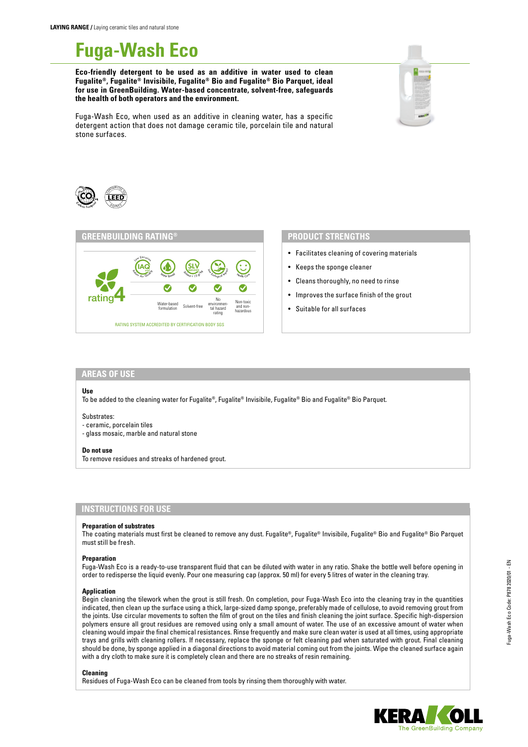# **Fuga-Wash Eco**

**Eco-friendly detergent to be used as an additive in water used to clean Fugalite®, Fugalite® Invisibile, Fugalite® Bio and Fugalite® Bio Parquet, ideal for use in GreenBuilding. Water-based concentrate, solvent-free, safeguards the health of both operators and the environment.**



Fuga-Wash Eco, when used as an additive in cleaning water, has a specific detergent action that does not damage ceramic tile, porcelain tile and natural stone surfaces.





## **PRODUCT STRENGTHS**

- Facilitates cleaning of covering materials
- Keeps the sponge cleaner
- Cleans thoroughly, no need to rinse
- Improves the surface finish of the grout
- Suitable for all surfaces

## **AREAS OF USE**

#### **Use**

To be added to the cleaning water for Fugalite®, Fugalite® Invisibile, Fugalite® Bio and Fugalite® Bio Parquet.

#### Substrates:

- ceramic, porcelain tiles
- glass mosaic, marble and natural stone

#### **Do not use**

To remove residues and streaks of hardened grout.

### **INSTRUCTIONS FOR USE**

#### **Preparation of substrates**

The coating materials must first be cleaned to remove any dust. Fugalite®, Fugalite® Invisibile, Fugalite® Bio and Fugalite® Bio Parquet must still be fresh.

#### **Preparation**

Fuga-Wash Eco is a ready-to-use transparent fluid that can be diluted with water in any ratio. Shake the bottle well before opening in order to redisperse the liquid evenly. Pour one measuring cap (approx. 50 ml) for every 5 litres of water in the cleaning tray.

#### **Application**

Begin cleaning the tilework when the grout is still fresh. On completion, pour Fuga-Wash Eco into the cleaning tray in the quantities indicated, then clean up the surface using a thick, large-sized damp sponge, preferably made of cellulose, to avoid removing grout from the joints. Use circular movements to soften the film of grout on the tiles and finish cleaning the joint surface. Specific high-dispersion polymers ensure all grout residues are removed using only a small amount of water. The use of an excessive amount of water when cleaning would impair the final chemical resistances. Rinse frequently and make sure clean water is used at all times, using appropriate trays and grills with cleaning rollers. If necessary, replace the sponge or felt cleaning pad when saturated with grout. Final cleaning should be done, by sponge applied in a diagonal directions to avoid material coming out from the joints. Wipe the cleaned surface again with a dry cloth to make sure it is completely clean and there are no streaks of resin remaining.

#### **Cleaning**

Residues of Fuga-Wash Eco can be cleaned from tools by rinsing them thoroughly with water.